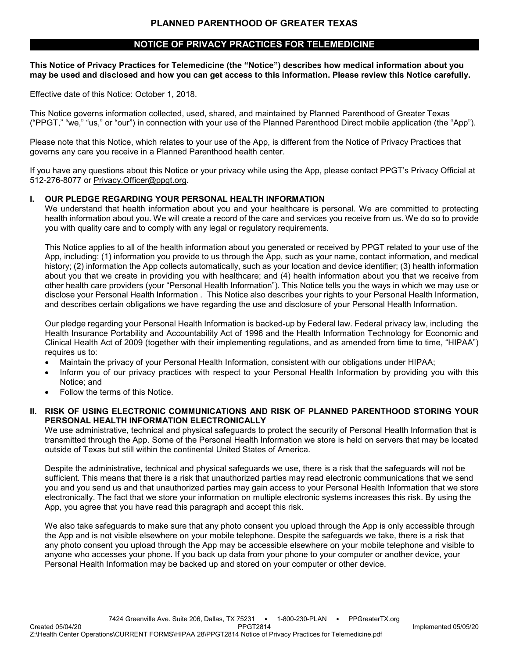### **NOTICE OF PRIVACY PRACTICES FOR TELEMEDICINE**

**This Notice of Privacy Practices for Telemedicine (the "Notice") describes how medical information about you may be used and disclosed and how you can get access to this information. Please review this Notice carefully.**

Effective date of this Notice: October 1, 2018.

This Notice governs information collected, used, shared, and maintained by Planned Parenthood of Greater Texas ("PPGT," "we," "us," or "our") in connection with your use of the Planned Parenthood Direct mobile application (the "App").

Please note that this Notice, which relates to your use of the App, is different from the Notice of Privacy Practices that governs any care you receive in a Planned Parenthood health center.

If you have any questions about this Notice or your privacy while using the App, please contact PPGT's Privacy Official at 512-276-8077 or [Privacy.Officer@ppgt.org.](mailto:Privacy.Officer@ppgt.org)

#### **I. OUR PLEDGE REGARDING YOUR PERSONAL HEALTH INFORMATION**

We understand that health information about you and your healthcare is personal. We are committed to protecting health information about you. We will create a record of the care and services you receive from us. We do so to provide you with quality care and to comply with any legal or regulatory requirements.

This Notice applies to all of the health information about you generated or received by PPGT related to your use of the App, including: (1) information you provide to us through the App, such as your name, contact information, and medical history; (2) information the App collects automatically, such as your location and device identifier; (3) health information about you that we create in providing you with healthcare; and (4) health information about you that we receive from other health care providers (your "Personal Health Information"). This Notice tells you the ways in which we may use or disclose your Personal Health Information . This Notice also describes your rights to your Personal Health Information, and describes certain obligations we have regarding the use and disclosure of your Personal Health Information.

Our pledge regarding your Personal Health Information is backed-up by Federal law. Federal privacy law, including the Health Insurance Portability and Accountability Act of 1996 and the Health Information Technology for Economic and Clinical Health Act of 2009 (together with their implementing regulations, and as amended from time to time, "HIPAA") requires us to:

- Maintain the privacy of your Personal Health Information, consistent with our obligations under HIPAA;
- Inform you of our privacy practices with respect to your Personal Health Information by providing you with this Notice; and
- Follow the terms of this Notice.
- **II. RISK OF USING ELECTRONIC COMMUNICATIONS AND RISK OF PLANNED PARENTHOOD STORING YOUR PERSONAL HEALTH INFORMATION ELECTRONICALLY**

We use administrative, technical and physical safeguards to protect the security of Personal Health Information that is transmitted through the App. Some of the Personal Health Information we store is held on servers that may be located outside of Texas but still within the continental United States of America.

Despite the administrative, technical and physical safeguards we use, there is a risk that the safeguards will not be sufficient. This means that there is a risk that unauthorized parties may read electronic communications that we send you and you send us and that unauthorized parties may gain access to your Personal Health Information that we store electronically. The fact that we store your information on multiple electronic systems increases this risk. By using the App, you agree that you have read this paragraph and accept this risk.

We also take safeguards to make sure that any photo consent you upload through the App is only accessible through the App and is not visible elsewhere on your mobile telephone. Despite the safeguards we take, there is a risk that any photo consent you upload through the App may be accessible elsewhere on your mobile telephone and visible to anyone who accesses your phone. If you back up data from your phone to your computer or another device, your Personal Health Information may be backed up and stored on your computer or other device.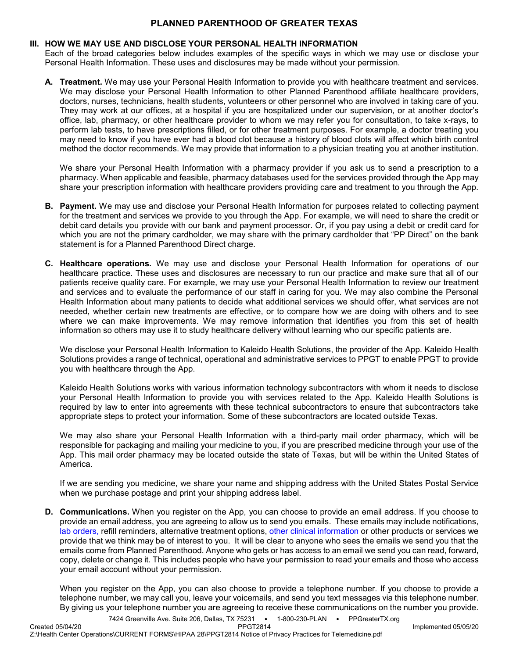### **III. HOW WE MAY USE AND DISCLOSE YOUR PERSONAL HEALTH INFORMATION**

Each of the broad categories below includes examples of the specific ways in which we may use or disclose your Personal Health Information. These uses and disclosures may be made without your permission.

**A. Treatment.** We may use your Personal Health Information to provide you with healthcare treatment and services. We may disclose your Personal Health Information to other Planned Parenthood affiliate healthcare providers, doctors, nurses, technicians, health students, volunteers or other personnel who are involved in taking care of you. They may work at our offices, at a hospital if you are hospitalized under our supervision, or at another doctor's office, lab, pharmacy, or other healthcare provider to whom we may refer you for consultation, to take x-rays, to perform lab tests, to have prescriptions filled, or for other treatment purposes. For example, a doctor treating you may need to know if you have ever had a blood clot because a history of blood clots will affect which birth control method the doctor recommends. We may provide that information to a physician treating you at another institution.

We share your Personal Health Information with a pharmacy provider if you ask us to send a prescription to a pharmacy. When applicable and feasible, pharmacy databases used for the services provided through the App may share your prescription information with healthcare providers providing care and treatment to you through the App.

- **B. Payment.** We may use and disclose your Personal Health Information for purposes related to collecting payment for the treatment and services we provide to you through the App. For example, we will need to share the credit or debit card details you provide with our bank and payment processor. Or, if you pay using a debit or credit card for which you are not the primary cardholder, we may share with the primary cardholder that "PP Direct" on the bank statement is for a Planned Parenthood Direct charge.
- **C. Healthcare operations.** We may use and disclose your Personal Health Information for operations of our healthcare practice. These uses and disclosures are necessary to run our practice and make sure that all of our patients receive quality care. For example, we may use your Personal Health Information to review our treatment and services and to evaluate the performance of our staff in caring for you. We may also combine the Personal Health Information about many patients to decide what additional services we should offer, what services are not needed, whether certain new treatments are effective, or to compare how we are doing with others and to see where we can make improvements. We may remove information that identifies you from this set of health information so others may use it to study healthcare delivery without learning who our specific patients are.

We disclose your Personal Health Information to Kaleido Health Solutions, the provider of the App. Kaleido Health Solutions provides a range of technical, operational and administrative services to PPGT to enable PPGT to provide you with healthcare through the App.

Kaleido Health Solutions works with various information technology subcontractors with whom it needs to disclose your Personal Health Information to provide you with services related to the App. Kaleido Health Solutions is required by law to enter into agreements with these technical subcontractors to ensure that subcontractors take appropriate steps to protect your information. Some of these subcontractors are located outside Texas.

We may also share your Personal Health Information with a third-party mail order pharmacy, which will be responsible for packaging and mailing your medicine to you, if you are prescribed medicine through your use of the App. This mail order pharmacy may be located outside the state of Texas, but will be within the United States of America.

If we are sending you medicine, we share your name and shipping address with the United States Postal Service when we purchase postage and print your shipping address label.

**D. Communications.** When you register on the App, you can choose to provide an email address. If you choose to provide an email address, you are agreeing to allow us to send you emails. These emails may include notifications, lab orders, refill reminders, alternative treatment options, other clinical information or other products or services we provide that we think may be of interest to you. It will be clear to anyone who sees the emails we send you that the emails come from Planned Parenthood. Anyone who gets or has access to an email we send you can read, forward, copy, delete or change it. This includes people who have your permission to read your emails and those who access your email account without your permission.

When you register on the App, you can also choose to provide a telephone number. If you choose to provide a telephone number, we may call you, leave your voicemails, and send you text messages via this telephone number. By giving us your telephone number you are agreeing to receive these communications on the number you provide.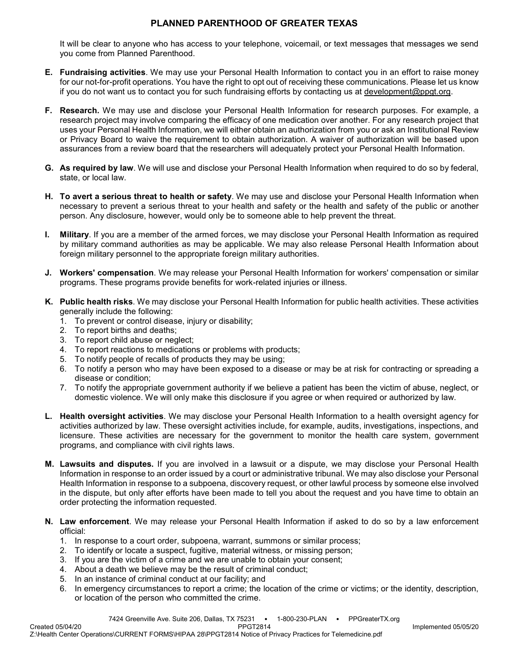It will be clear to anyone who has access to your telephone, voicemail, or text messages that messages we send you come from Planned Parenthood.

- **E. Fundraising activities**. We may use your Personal Health Information to contact you in an effort to raise money for our not-for-profit operations. You have the right to opt out of receiving these communications. Please let us know if you do not want us to contact you for such fundraising efforts by contacting us at [development@ppgt.org.](mailto:development@ppgt.org)
- **F. Research.** We may use and disclose your Personal Health Information for research purposes. For example, a research project may involve comparing the efficacy of one medication over another. For any research project that uses your Personal Health Information, we will either obtain an authorization from you or ask an Institutional Review or Privacy Board to waive the requirement to obtain authorization. A waiver of authorization will be based upon assurances from a review board that the researchers will adequately protect your Personal Health Information.
- **G. As required by law**. We will use and disclose your Personal Health Information when required to do so by federal, state, or local law.
- **H. To avert a serious threat to health or safety**. We may use and disclose your Personal Health Information when necessary to prevent a serious threat to your health and safety or the health and safety of the public or another person. Any disclosure, however, would only be to someone able to help prevent the threat.
- **I. Military**. If you are a member of the armed forces, we may disclose your Personal Health Information as required by military command authorities as may be applicable. We may also release Personal Health Information about foreign military personnel to the appropriate foreign military authorities.
- **J. Workers' compensation**. We may release your Personal Health Information for workers' compensation or similar programs. These programs provide benefits for work-related injuries or illness.
- **K. Public health risks**. We may disclose your Personal Health Information for public health activities. These activities generally include the following:
	- 1. To prevent or control disease, injury or disability;
	- 2. To report births and deaths;
	- 3. To report child abuse or neglect;
	- 4. To report reactions to medications or problems with products;
	- 5. To notify people of recalls of products they may be using;
	- 6. To notify a person who may have been exposed to a disease or may be at risk for contracting or spreading a disease or condition;
	- 7. To notify the appropriate government authority if we believe a patient has been the victim of abuse, neglect, or domestic violence. We will only make this disclosure if you agree or when required or authorized by law.
- **L. Health oversight activities**. We may disclose your Personal Health Information to a health oversight agency for activities authorized by law. These oversight activities include, for example, audits, investigations, inspections, and licensure. These activities are necessary for the government to monitor the health care system, government programs, and compliance with civil rights laws.
- **M. Lawsuits and disputes.** If you are involved in a lawsuit or a dispute, we may disclose your Personal Health Information in response to an order issued by a court or administrative tribunal. We may also disclose your Personal Health Information in response to a subpoena, discovery request, or other lawful process by someone else involved in the dispute, but only after efforts have been made to tell you about the request and you have time to obtain an order protecting the information requested.
- **N. Law enforcement**. We may release your Personal Health Information if asked to do so by a law enforcement official:
	- 1. In response to a court order, subpoena, warrant, summons or similar process;
	- 2. To identify or locate a suspect, fugitive, material witness, or missing person;
	- 3. If you are the victim of a crime and we are unable to obtain your consent;
	- 4. About a death we believe may be the result of criminal conduct;
	- 5. In an instance of criminal conduct at our facility; and
	- 6. In emergency circumstances to report a crime; the location of the crime or victims; or the identity, description, or location of the person who committed the crime.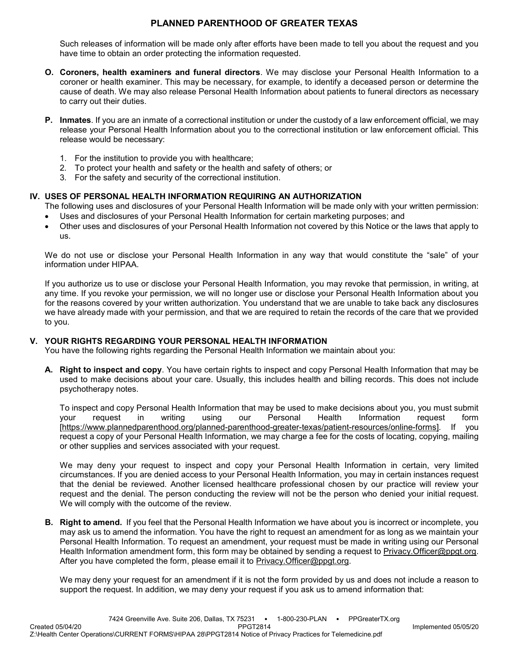Such releases of information will be made only after efforts have been made to tell you about the request and you have time to obtain an order protecting the information requested.

- **O. Coroners, health examiners and funeral directors**. We may disclose your Personal Health Information to a coroner or health examiner. This may be necessary, for example, to identify a deceased person or determine the cause of death. We may also release Personal Health Information about patients to funeral directors as necessary to carry out their duties.
- **P. Inmates**. If you are an inmate of a correctional institution or under the custody of a law enforcement official, we may release your Personal Health Information about you to the correctional institution or law enforcement official. This release would be necessary:
	- 1. For the institution to provide you with healthcare;
	- 2. To protect your health and safety or the health and safety of others; or
	- 3. For the safety and security of the correctional institution.

### **IV. USES OF PERSONAL HEALTH INFORMATION REQUIRING AN AUTHORIZATION**

The following uses and disclosures of your Personal Health Information will be made only with your written permission:

- Uses and disclosures of your Personal Health Information for certain marketing purposes; and
- Other uses and disclosures of your Personal Health Information not covered by this Notice or the laws that apply to us.

We do not use or disclose your Personal Health Information in any way that would constitute the "sale" of your information under HIPAA.

If you authorize us to use or disclose your Personal Health Information, you may revoke that permission, in writing, at any time. If you revoke your permission, we will no longer use or disclose your Personal Health Information about you for the reasons covered by your written authorization. You understand that we are unable to take back any disclosures we have already made with your permission, and that we are required to retain the records of the care that we provided to you.

### **V. YOUR RIGHTS REGARDING YOUR PERSONAL HEALTH INFORMATION**

You have the following rights regarding the Personal Health Information we maintain about you:

**A. Right to inspect and copy**. You have certain rights to inspect and copy Personal Health Information that may be used to make decisions about your care. Usually, this includes health and billing records. This does not include psychotherapy notes.

To inspect and copy Personal Health Information that may be used to make decisions about you, you must submit<br>vour vequest in writing using our Personal Health Information request form your request in writing using our Personal Health Information request form [\[https://www.plannedparenthood.org/planned-parenthood-greater-texas/patient-resources/online-forms\]](https://www.plannedparenthood.org/planned-parenthood-greater-texas/patient-resources/online-forms). If you request a copy of your Personal Health Information, we may charge a fee for the costs of locating, copying, mailing or other supplies and services associated with your request.

We may deny your request to inspect and copy your Personal Health Information in certain, very limited circumstances. If you are denied access to your Personal Health Information, you may in certain instances request that the denial be reviewed. Another licensed healthcare professional chosen by our practice will review your request and the denial. The person conducting the review will not be the person who denied your initial request. We will comply with the outcome of the review.

**B. Right to amend.** If you feel that the Personal Health Information we have about you is incorrect or incomplete, you may ask us to amend the information. You have the right to request an amendment for as long as we maintain your Personal Health Information. To request an amendment, your request must be made in writing using our Personal Health Information amendment form, this form may be obtained by sending a request to Privacy. Officer@ppgt.org. After you have completed the form, please email it to [Privacy.Officer@ppgt.org.](mailto:Privacy.Officer@ppgt.org)

We may deny your request for an amendment if it is not the form provided by us and does not include a reason to support the request. In addition, we may deny your request if you ask us to amend information that: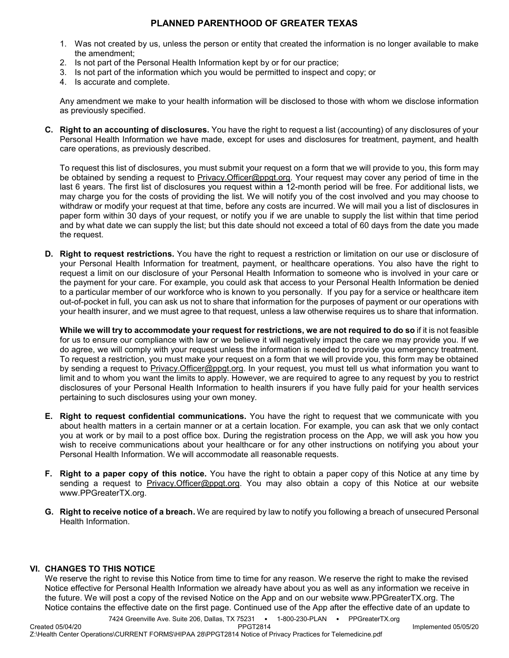- 1. Was not created by us, unless the person or entity that created the information is no longer available to make the amendment;
- 2. Is not part of the Personal Health Information kept by or for our practice;
- 3. Is not part of the information which you would be permitted to inspect and copy; or
- 4. Is accurate and complete.

Any amendment we make to your health information will be disclosed to those with whom we disclose information as previously specified.

**C. Right to an accounting of disclosures.** You have the right to request a list (accounting) of any disclosures of your Personal Health Information we have made, except for uses and disclosures for treatment, payment, and health care operations, as previously described.

To request this list of disclosures, you must submit your request on a form that we will provide to you, this form may be obtained by sending a request to [Privacy.Officer@ppgt.org.](mailto:Privacy.Officer@ppgt.org) Your request may cover any period of time in the last 6 years. The first list of disclosures you request within a 12-month period will be free. For additional lists, we may charge you for the costs of providing the list. We will notify you of the cost involved and you may choose to withdraw or modify your request at that time, before any costs are incurred. We will mail you a list of disclosures in paper form within 30 days of your request, or notify you if we are unable to supply the list within that time period and by what date we can supply the list; but this date should not exceed a total of 60 days from the date you made the request.

**D. Right to request restrictions.** You have the right to request a restriction or limitation on our use or disclosure of your Personal Health Information for treatment, payment, or healthcare operations. You also have the right to request a limit on our disclosure of your Personal Health Information to someone who is involved in your care or the payment for your care. For example, you could ask that access to your Personal Health Information be denied to a particular member of our workforce who is known to you personally. If you pay for a service or healthcare item out-of-pocket in full, you can ask us not to share that information for the purposes of payment or our operations with your health insurer, and we must agree to that request, unless a law otherwise requires us to share that information.

**While we will try to accommodate your request for restrictions, we are not required to do so** if it is not feasible for us to ensure our compliance with law or we believe it will negatively impact the care we may provide you. If we do agree, we will comply with your request unless the information is needed to provide you emergency treatment. To request a restriction, you must make your request on a form that we will provide you, this form may be obtained by sending a request to Privacy. Officer@ppgt.org. In your request, you must tell us what information you want to limit and to whom you want the limits to apply. However, we are required to agree to any request by you to restrict disclosures of your Personal Health Information to health insurers if you have fully paid for your health services pertaining to such disclosures using your own money.

- **E. Right to request confidential communications.** You have the right to request that we communicate with you about health matters in a certain manner or at a certain location. For example, you can ask that we only contact you at work or by mail to a post office box. During the registration process on the App, we will ask you how you wish to receive communications about your healthcare or for any other instructions on notifying you about your Personal Health Information. We will accommodate all reasonable requests.
- **F. Right to a paper copy of this notice.** You have the right to obtain a paper copy of this Notice at any time by sending a request to **Privacy.Officer@ppgt.org**. You may also obtain a copy of this Notice at our website www.PPGreaterTX.org.
- **G. Right to receive notice of a breach.** We are required by law to notify you following a breach of unsecured Personal Health Information.

#### **VI. CHANGES TO THIS NOTICE**

We reserve the right to revise this Notice from time to time for any reason. We reserve the right to make the revised Notice effective for Personal Health Information we already have about you as well as any information we receive in the future. We will post a copy of the revised Notice on the App and on our website www.PPGreaterTX.org. The Notice contains the effective date on the first page. Continued use of the App after the effective date of an update to